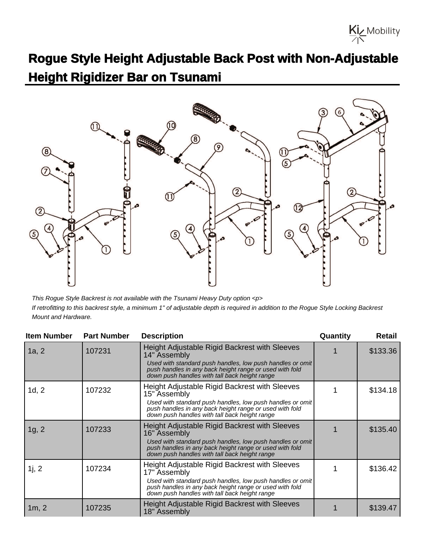## **Rogue Style Height Adjustable Back Post with Non-Adjustable Height Rigidizer Bar on Tsunami**

Kiz Mobility



This Rogue Style Backrest is not available with the Tsunami Heavy Duty option <p> If retrofitting to this backrest style, a minimum 1" of adjustable depth is required in addition to the Rogue Style Locking Backrest Mount and Hardware.

| <b>Item Number</b> | <b>Part Number</b> | <b>Description</b>                                                                                                                                                    | Quantity | <b>Retail</b> |
|--------------------|--------------------|-----------------------------------------------------------------------------------------------------------------------------------------------------------------------|----------|---------------|
| 1a, 2              | 107231             | Height Adjustable Rigid Backrest with Sleeves<br>14" Assembly                                                                                                         |          | \$133.36      |
|                    |                    | Used with standard push handles, low push handles or omit<br>push handles in any back height range or used with fold<br>down push handles with tall back height range |          |               |
| 1d, 2              | 107232             | Height Adjustable Rigid Backrest with Sleeves<br>15" Assembly                                                                                                         |          | \$134.18      |
|                    |                    | Used with standard push handles, low push handles or omit<br>push handles in any back height range or used with fold<br>down push handles with tall back height range |          |               |
| 1g, 2              | 107233             | Height Adjustable Rigid Backrest with Sleeves<br>16" Assembly                                                                                                         |          | \$135.40      |
|                    |                    | Used with standard push handles, low push handles or omit<br>push handles in any back height range or used with fold<br>down push handles with tall back height range |          |               |
| 1j, 2              | 107234             | Height Adjustable Rigid Backrest with Sleeves<br>17" Assembly                                                                                                         |          | \$136.42      |
|                    |                    | Used with standard push handles, low push handles or omit<br>push handles in any back height range or used with fold<br>down push handles with tall back height range |          |               |
| 1m, 2              | 107235             | Height Adjustable Rigid Backrest with Sleeves<br>18" Assembly                                                                                                         |          | \$139.47      |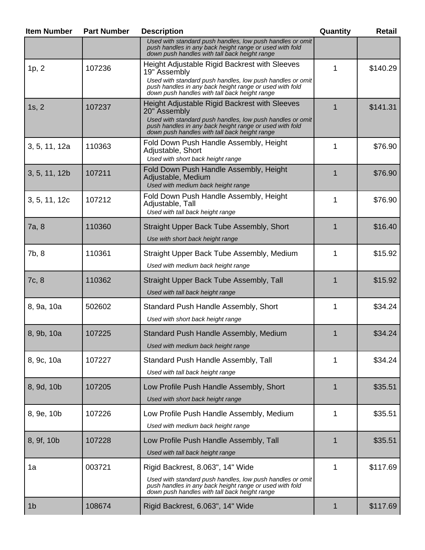| <b>Item Number</b> | <b>Part Number</b> | <b>Description</b>                                                                                                                                                                                                                     | Quantity | <b>Retail</b> |
|--------------------|--------------------|----------------------------------------------------------------------------------------------------------------------------------------------------------------------------------------------------------------------------------------|----------|---------------|
|                    |                    | Used with standard push handles, low push handles or omit<br>push handles in any back height range or used with fold<br>down push handles with tall back height range                                                                  |          |               |
| 1p, 2              | 107236             | Height Adjustable Rigid Backrest with Sleeves<br>19" Assembly<br>Used with standard push handles, low push handles or omit<br>push handles in any back height range or used with fold<br>down push handles with tall back height range | 1        | \$140.29      |
| 1s, 2              | 107237             | Height Adjustable Rigid Backrest with Sleeves<br>20" Assembly<br>Used with standard push handles, low push handles or omit<br>push handles in any back height range or used with fold<br>down push handles with tall back height range | 1        | \$141.31      |
| 3, 5, 11, 12a      | 110363             | Fold Down Push Handle Assembly, Height<br>Adjustable, Short<br>Used with short back height range                                                                                                                                       | 1        | \$76.90       |
| 3, 5, 11, 12b      | 107211             | Fold Down Push Handle Assembly, Height<br>Adjustable, Medium<br>Used with medium back height range                                                                                                                                     | 1        | \$76.90       |
| 3, 5, 11, 12c      | 107212             | Fold Down Push Handle Assembly, Height<br>Adjustable, Tall<br>Used with tall back height range                                                                                                                                         | 1        | \$76.90       |
| 7a, 8              | 110360             | Straight Upper Back Tube Assembly, Short<br>Use with short back height range                                                                                                                                                           | 1        | \$16.40       |
| 7b, 8              | 110361             | Straight Upper Back Tube Assembly, Medium<br>Used with medium back height range                                                                                                                                                        | 1        | \$15.92       |
| 7c, 8              | 110362             | Straight Upper Back Tube Assembly, Tall<br>Used with tall back height range                                                                                                                                                            | 1        | \$15.92       |
| 8, 9a, 10a         | 502602             | Standard Push Handle Assembly, Short<br>Used with short back height range                                                                                                                                                              | 1        | \$34.24       |
| 8, 9b, 10a         | 107225             | Standard Push Handle Assembly, Medium<br>Used with medium back height range                                                                                                                                                            | 1        | \$34.24       |
| 8, 9c, 10a         | 107227             | Standard Push Handle Assembly, Tall<br>Used with tall back height range                                                                                                                                                                | 1        | \$34.24       |
| 8, 9d, 10b         | 107205             | Low Profile Push Handle Assembly, Short<br>Used with short back height range                                                                                                                                                           | 1        | \$35.51       |
| 8, 9e, 10b         | 107226             | Low Profile Push Handle Assembly, Medium<br>Used with medium back height range                                                                                                                                                         | 1        | \$35.51       |
| 8, 9f, 10b         | 107228             | Low Profile Push Handle Assembly, Tall<br>Used with tall back height range                                                                                                                                                             | 1        | \$35.51       |
| 1a                 | 003721             | Rigid Backrest, 8.063", 14" Wide<br>Used with standard push handles, low push handles or omit<br>push handles in any back height range or used with fold<br>down push handles with tall back height range                              | 1        | \$117.69      |
| 1 <sub>b</sub>     | 108674             | Rigid Backrest, 6.063", 14" Wide                                                                                                                                                                                                       | 1        | \$117.69      |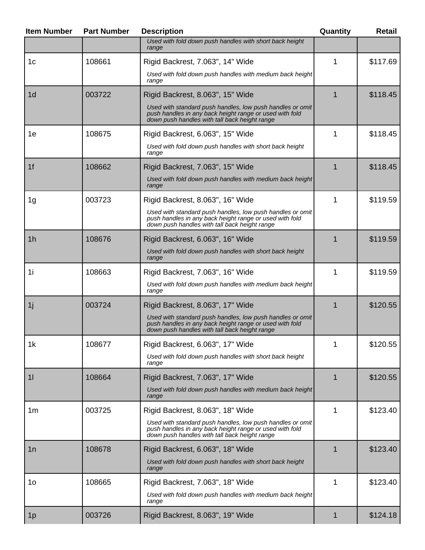| <b>Item Number</b> | <b>Part Number</b> | <b>Description</b>                                                                                                                                                    | Quantity | Retail   |
|--------------------|--------------------|-----------------------------------------------------------------------------------------------------------------------------------------------------------------------|----------|----------|
|                    |                    | Used with fold down push handles with short back height<br>range                                                                                                      |          |          |
| 1c                 | 108661             | Rigid Backrest, 7.063", 14" Wide                                                                                                                                      | 1        | \$117.69 |
|                    |                    | Used with fold down push handles with medium back height<br>range                                                                                                     |          |          |
| 1 <sub>d</sub>     | 003722             | Rigid Backrest, 8.063", 15" Wide                                                                                                                                      | 1        | \$118.45 |
|                    |                    | Used with standard push handles, low push handles or omit<br>push handles in any back height range or used with fold<br>down push handles with tall back height range |          |          |
| 1e                 | 108675             | Rigid Backrest, 6.063", 15" Wide                                                                                                                                      | 1        | \$118.45 |
|                    |                    | Used with fold down push handles with short back height<br>range                                                                                                      |          |          |
| 1 <sub>f</sub>     | 108662             | Rigid Backrest, 7.063", 15" Wide                                                                                                                                      | 1        | \$118.45 |
|                    |                    | Used with fold down push handles with medium back height<br>range                                                                                                     |          |          |
| 1g                 | 003723             | Rigid Backrest, 8.063", 16" Wide                                                                                                                                      | 1        | \$119.59 |
|                    |                    | Used with standard push handles, low push handles or omit<br>push handles in any back height range or used with fold<br>down push handles with tall back height range |          |          |
| 1 <sub>h</sub>     | 108676             | Rigid Backrest, 6.063", 16" Wide                                                                                                                                      | 1        | \$119.59 |
|                    |                    | Used with fold down push handles with short back height<br>range                                                                                                      |          |          |
| 1i                 | 108663             | Rigid Backrest, 7.063", 16" Wide                                                                                                                                      | 1        | \$119.59 |
|                    |                    | Used with fold down push handles with medium back height<br>range                                                                                                     |          |          |
| 1j                 | 003724             | Rigid Backrest, 8.063", 17" Wide                                                                                                                                      | 1        | \$120.55 |
|                    |                    | Used with standard push handles, low push handles or omit<br>push handles in any back height range or used with fold<br>down push handles with tall back height range |          |          |
| 1 <sub>k</sub>     | 108677             | Rigid Backrest, 6.063", 17" Wide                                                                                                                                      | 1        | \$120.55 |
|                    |                    | Used with fold down push handles with short back height<br>range                                                                                                      |          |          |
| 11                 | 108664             | Rigid Backrest, 7.063", 17" Wide                                                                                                                                      | 1        | \$120.55 |
|                    |                    | Used with fold down push handles with medium back height<br>range                                                                                                     |          |          |
| 1 <sub>m</sub>     | 003725             | Rigid Backrest, 8.063", 18" Wide                                                                                                                                      | 1        | \$123.40 |
|                    |                    | Used with standard push handles, low push handles or omit<br>push handles in any back height range or used with fold<br>down push handles with tall back height range |          |          |
| 1n                 | 108678             | Rigid Backrest, 6.063", 18" Wide                                                                                                                                      | 1        | \$123.40 |
|                    |                    | Used with fold down push handles with short back height<br>range                                                                                                      |          |          |
| 1 <sub>O</sub>     | 108665             | Rigid Backrest, 7.063", 18" Wide                                                                                                                                      | 1        | \$123.40 |
|                    |                    | Used with fold down push handles with medium back height<br>range                                                                                                     |          |          |
| 1 <sub>p</sub>     | 003726             | Rigid Backrest, 8.063", 19" Wide                                                                                                                                      | 1        | \$124.18 |